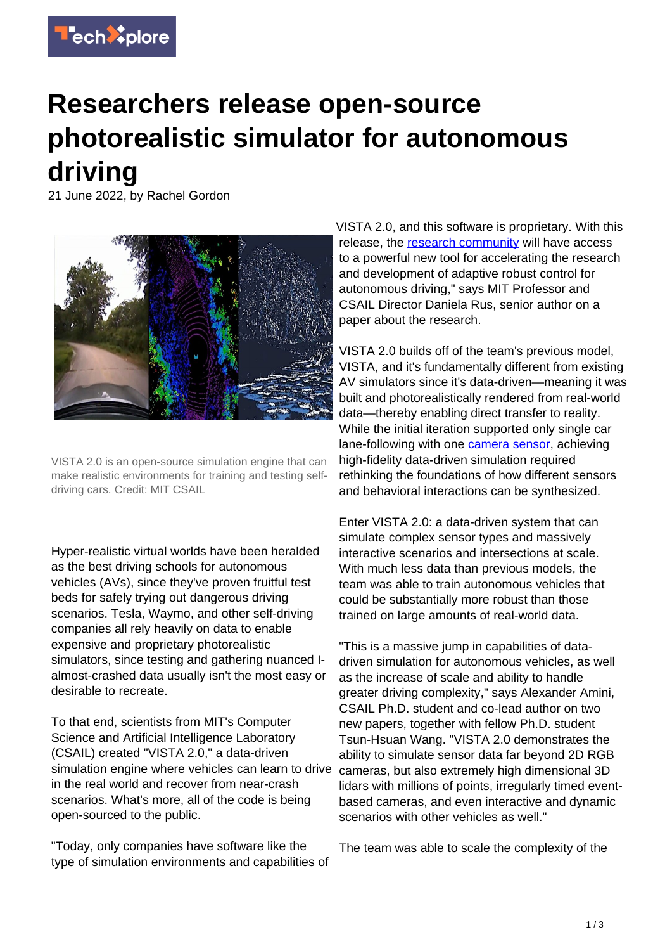

## **Researchers release open-source photorealistic simulator for autonomous driving**

21 June 2022, by Rachel Gordon



VISTA 2.0 is an open-source simulation engine that can make realistic environments for training and testing selfdriving cars. Credit: MIT CSAIL

Hyper-realistic virtual worlds have been heralded as the best driving schools for autonomous vehicles (AVs), since they've proven fruitful test beds for safely trying out dangerous driving scenarios. Tesla, Waymo, and other self-driving companies all rely heavily on data to enable expensive and proprietary photorealistic simulators, since testing and gathering nuanced Ialmost-crashed data usually isn't the most easy or desirable to recreate.

To that end, scientists from MIT's Computer Science and Artificial Intelligence Laboratory (CSAIL) created "VISTA 2.0," a data-driven simulation engine where vehicles can learn to drive in the real world and recover from near-crash scenarios. What's more, all of the code is being open-sourced to the public.

"Today, only companies have software like the type of simulation environments and capabilities of

VISTA 2.0, and this software is proprietary. With this release, the [research community](https://techxplore.com/tags/research+community/) will have access to a powerful new tool for accelerating the research and development of adaptive robust control for autonomous driving," says MIT Professor and CSAIL Director Daniela Rus, senior author on a paper about the research.

VISTA 2.0 builds off of the team's previous model, VISTA, and it's fundamentally different from existing AV simulators since it's data-driven—meaning it was built and photorealistically rendered from real-world data—thereby enabling direct transfer to reality. While the initial iteration supported only single car lane-following with one [camera sensor,](https://techxplore.com/tags/camera+sensor/) achieving high-fidelity data-driven simulation required rethinking the foundations of how different sensors and behavioral interactions can be synthesized.

Enter VISTA 2.0: a data-driven system that can simulate complex sensor types and massively interactive scenarios and intersections at scale. With much less data than previous models, the team was able to train autonomous vehicles that could be substantially more robust than those trained on large amounts of real-world data.

"This is a massive jump in capabilities of datadriven simulation for autonomous vehicles, as well as the increase of scale and ability to handle greater driving complexity," says Alexander Amini, CSAIL Ph.D. student and co-lead author on two new papers, together with fellow Ph.D. student Tsun-Hsuan Wang. "VISTA 2.0 demonstrates the ability to simulate sensor data far beyond 2D RGB cameras, but also extremely high dimensional 3D lidars with millions of points, irregularly timed eventbased cameras, and even interactive and dynamic scenarios with other vehicles as well."

The team was able to scale the complexity of the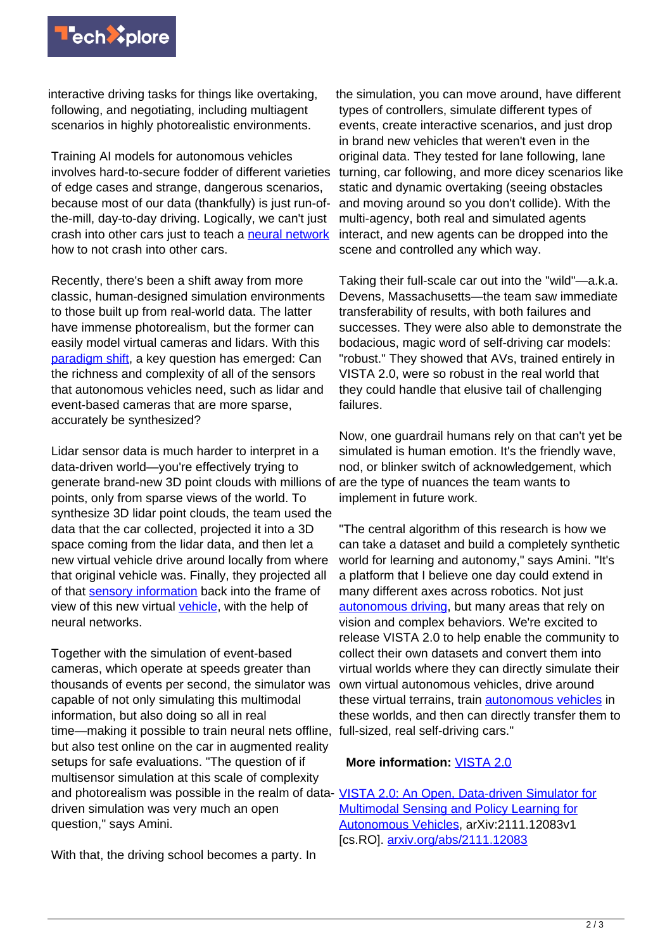

interactive driving tasks for things like overtaking, following, and negotiating, including multiagent scenarios in highly photorealistic environments.

Training AI models for autonomous vehicles involves hard-to-secure fodder of different varieties of edge cases and strange, dangerous scenarios, because most of our data (thankfully) is just run-ofthe-mill, day-to-day driving. Logically, we can't just crash into other cars just to teach a [neural network](https://techxplore.com/tags/neural+network/) how to not crash into other cars.

Recently, there's been a shift away from more classic, human-designed simulation environments to those built up from real-world data. The latter have immense photorealism, but the former can easily model virtual cameras and lidars. With this [paradigm shift](https://techxplore.com/tags/paradigm+shift/), a key question has emerged: Can the richness and complexity of all of the sensors that autonomous vehicles need, such as lidar and event-based cameras that are more sparse, accurately be synthesized?

Lidar sensor data is much harder to interpret in a data-driven world—you're effectively trying to generate brand-new 3D point clouds with millions of points, only from sparse views of the world. To synthesize 3D lidar point clouds, the team used the data that the car collected, projected it into a 3D space coming from the lidar data, and then let a new virtual vehicle drive around locally from where that original vehicle was. Finally, they projected all of that [sensory information](https://techxplore.com/tags/sensory+information/) back into the frame of view of this new virtual [vehicle,](https://techxplore.com/tags/vehicle/) with the help of neural networks.

Together with the simulation of event-based cameras, which operate at speeds greater than thousands of events per second, the simulator was capable of not only simulating this multimodal information, but also doing so all in real time—making it possible to train neural nets offline, but also test online on the car in augmented reality setups for safe evaluations. "The question of if multisensor simulation at this scale of complexity and photorealism was possible in the realm of data- [VISTA 2.0: An Open, Data-driven Simulator for](https://arxiv.org/pdf/2111.12083.pdf) driven simulation was very much an open question," says Amini.

With that, the driving school becomes a party. In

the simulation, you can move around, have different types of controllers, simulate different types of events, create interactive scenarios, and just drop in brand new vehicles that weren't even in the original data. They tested for lane following, lane turning, car following, and more dicey scenarios like static and dynamic overtaking (seeing obstacles and moving around so you don't collide). With the multi-agency, both real and simulated agents interact, and new agents can be dropped into the scene and controlled any which way.

Taking their full-scale car out into the "wild"—a.k.a. Devens, Massachusetts—the team saw immediate transferability of results, with both failures and successes. They were also able to demonstrate the bodacious, magic word of self-driving car models: "robust." They showed that AVs, trained entirely in VISTA 2.0, were so robust in the real world that they could handle that elusive tail of challenging failures.

Now, one guardrail humans rely on that can't yet be simulated is human emotion. It's the friendly wave, nod, or blinker switch of acknowledgement, which are the type of nuances the team wants to implement in future work.

"The central algorithm of this research is how we can take a dataset and build a completely synthetic world for learning and autonomy," says Amini. "It's a platform that I believe one day could extend in many different axes across robotics. Not just [autonomous driving](https://techxplore.com/tags/autonomous+driving/), but many areas that rely on vision and complex behaviors. We're excited to release VISTA 2.0 to help enable the community to collect their own datasets and convert them into virtual worlds where they can directly simulate their own virtual autonomous vehicles, drive around these virtual terrains, train [autonomous vehicles](https://techxplore.com/tags/autonomous+vehicles/) in these worlds, and then can directly transfer them to full-sized, real self-driving cars."

## **More information:** [VISTA 2.0](https://vista.csail.mit.edu/)

[Multimodal Sensing and Policy Learning for](https://arxiv.org/pdf/2111.12083.pdf) [Autonomous Vehicles,](https://arxiv.org/pdf/2111.12083.pdf) arXiv:2111.12083v1 [cs.RO]. [arxiv.org/abs/2111.12083](https://arxiv.org/abs/2111.12083)